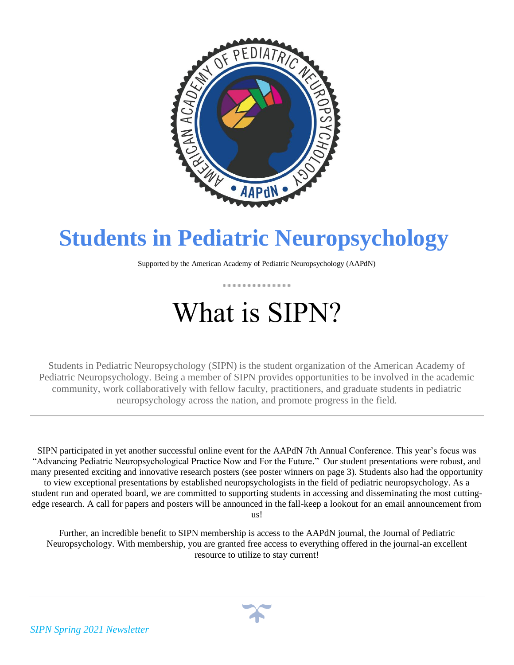

## **Students in Pediatric Neuropsychology**

Supported by the American Academy of Pediatric Neuropsychology (AAPdN)

. . . . . . . . . . . . . .

# What is SIPN?

Students in Pediatric Neuropsychology (SIPN) is the student organization of the American Academy of Pediatric Neuropsychology. Being a member of SIPN provides opportunities to be involved in the academic community, work collaboratively with fellow faculty, practitioners, and graduate students in pediatric neuropsychology across the nation, and promote progress in the field.

SIPN participated in yet another successful online event for the AAPdN 7th Annual Conference. This year's focus was "Advancing Pediatric Neuropsychological Practice Now and For the Future." Our student presentations were robust, and many presented exciting and innovative research posters (see poster winners on page 3). Students also had the opportunity to view exceptional presentations by established neuropsychologists in the field of pediatric neuropsychology. As a student run and operated board, we are committed to supporting students in accessing and disseminating the most cuttingedge research. A call for papers and posters will be announced in the fall-keep a lookout for an email announcement from us!

Further, an incredible benefit to SIPN membership is access to the AAPdN journal, the Journal of Pediatric Neuropsychology. With membership, you are granted free access to everything offered in the journal-an excellent resource to utilize to stay current!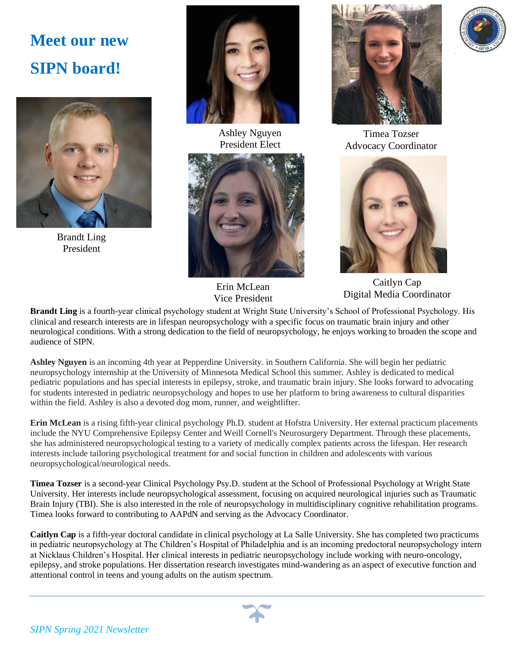### **Meet our new SIPN board!**



Brandt Ling President



Ashley Nguyen President Elect



Erin McLean Vice President



Timea Tozser Advocacy Coordinator



Caitlyn Cap Digital Media Coordinator

**Brandt Ling** is a fourth-year clinical psychology student at Wright State University's School of Professional Psychology. His clinical and research interests are in lifespan neuropsychology with a specific focus on traumatic brain injury and other neurological conditions. With a strong dedication to the field of neuropsychology, he enjoys working to broaden the scope and audience of SIPN.

**Ashley Nguyen** is an incoming 4th year at Pepperdine University. in Southern California. She will begin her pediatric neuropsychology internship at the University of Minnesota Medical School this summer. Ashley is dedicated to medical pediatric populations and has special interests in epilepsy, stroke, and traumatic brain injury. She looks forward to advocating for students interested in pediatric neuropsychology and hopes to use her platform to bring awareness to cultural disparities within the field. Ashley is also a devoted dog mom, runner, and weightlifter.

**Erin McLean** is a rising fifth-year clinical psychology Ph.D. student at Hofstra University. Her external practicum placements include the NYU Comprehensive Epilepsy Center and Weill Cornell's Neurosurgery Department. Through these placements, she has administered neuropsychological testing to a variety of medically complex patients across the lifespan. Her research interests include tailoring psychological treatment for and social function in children and adolescents with various neuropsychological/neurological needs.

**Timea Tozser** is a second-year Clinical Psychology Psy.D. student at the School of Professional Psychology at Wright State University. Her interests include neuropsychological assessment, focusing on acquired neurological injuries such as Traumatic Brain Injury (TBI). She is also interested in the role of neuropsychology in multidisciplinary cognitive rehabilitation programs. Timea looks forward to contributing to AAPdN and serving as the Advocacy Coordinator.

**Caitlyn Cap** is a fifth-year doctoral candidate in clinical psychology at La Salle University. She has completed two practicums in pediatric neuropsychology at The Children's Hospital of Philadelphia and is an incoming predoctoral neuropsychology intern at Nicklaus Children's Hospital. Her clinical interests in pediatric neuropsychology include working with neuro-oncology, epilepsy, and stroke populations. Her dissertation research investigates mind-wandering as an aspect of executive function and attentional control in teens and young adults on the autism spectrum.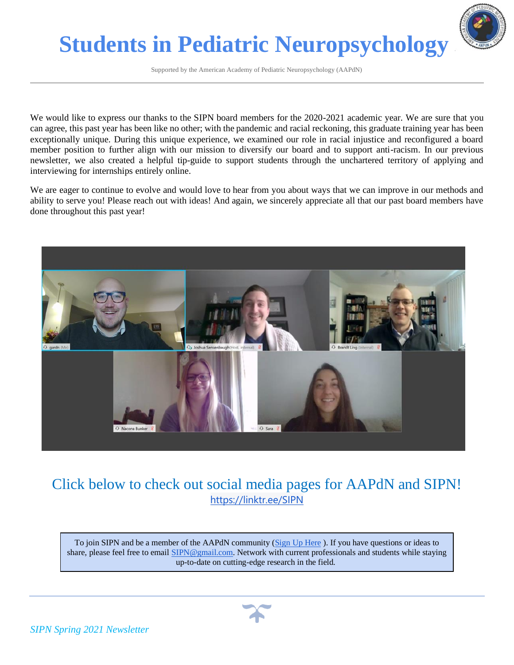

Supported by the American Academy of Pediatric Neuropsychology (AAPdN)

We would like to express our thanks to the SIPN board members for the 2020-2021 academic year. We are sure that you can agree, this past year has been like no other; with the pandemic and racial reckoning, this graduate training year has been exceptionally unique. During this unique experience, we examined our role in racial injustice and reconfigured a board member position to further align with our mission to diversify our board and to support anti-racism. In our previous newsletter, we also created a helpful tip-guide to support students through the unchartered territory of applying and interviewing for internships entirely online.

We are eager to continue to evolve and would love to hear from you about ways that we can improve in our methods and ability to serve you! Please reach out with ideas! And again, we sincerely appreciate all that our past board members have done throughout this past year!



#### Click below to check out social media pages for AAPdN and SIPN! <https://linktr.ee/SIPN>

To join SIPN and be a member of the AAPdN community [\(Sign Up Here](https://bit.ly/3htp7dQ) ). If you have questions or ideas to share, please feel free to email [SIPN@gmail.com.](mailto:SIPN@gmail.com) Network with current professionals and students while staying up-to-date on cutting-edge research in the field.